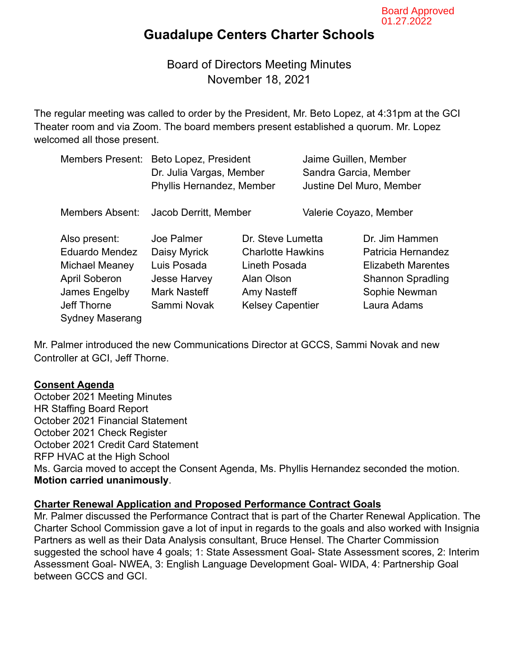# **Guadalupe Centers Charter Schools**

Board of Directors Meeting Minutes November 18, 2021

The regular meeting was called to order by the President, Mr. Beto Lopez, at 4:31pm at the GCI Theater room and via Zoom. The board members present established a quorum. Mr. Lopez welcomed all those present.

| <b>Members Present:</b>                                                        | Beto Lopez, President<br>Dr. Julia Vargas, Member<br>Phyllis Hernandez, Member |                                                                | Jaime Guillen, Member<br>Sandra Garcia, Member<br>Justine Del Muro, Member |                                                                   |
|--------------------------------------------------------------------------------|--------------------------------------------------------------------------------|----------------------------------------------------------------|----------------------------------------------------------------------------|-------------------------------------------------------------------|
| <b>Members Absent:</b>                                                         | Jacob Derritt, Member                                                          |                                                                | Valerie Coyazo, Member                                                     |                                                                   |
| Also present:<br>Eduardo Mendez<br>Michael Meaney                              | Joe Palmer<br>Daisy Myrick<br>Luis Posada                                      | Dr. Steve Lumetta<br><b>Charlotte Hawkins</b><br>Lineth Posada |                                                                            | Dr. Jim Hammen<br>Patricia Hernandez<br><b>Elizabeth Marentes</b> |
| <b>April Soberon</b><br>James Engelby<br>Jeff Thorne<br><b>Sydney Maserang</b> | <b>Jesse Harvey</b><br><b>Mark Nasteff</b><br>Sammi Novak                      | Alan Olson<br>Amy Nasteff<br><b>Kelsey Capentier</b>           |                                                                            | <b>Shannon Spradling</b><br>Sophie Newman<br>Laura Adams          |

Mr. Palmer introduced the new Communications Director at GCCS, Sammi Novak and new Controller at GCI, Jeff Thorne.

#### **Consent Agenda**

October 2021 Meeting Minutes HR Staffing Board Report October 2021 Financial Statement October 2021 Check Register October 2021 Credit Card Statement RFP HVAC at the High School Ms. Garcia moved to accept the Consent Agenda, Ms. Phyllis Hernandez seconded the motion. **Motion carried unanimously**.

#### **Charter Renewal Application and Proposed Performance Contract Goals**

Mr. Palmer discussed the Performance Contract that is part of the Charter Renewal Application. The Charter School Commission gave a lot of input in regards to the goals and also worked with Insignia Partners as well as their Data Analysis consultant, Bruce Hensel. The Charter Commission suggested the school have 4 goals; 1: State Assessment Goal- State Assessment scores, 2: Interim Assessment Goal- NWEA, 3: English Language Development Goal- WIDA, 4: Partnership Goal between GCCS and GCI.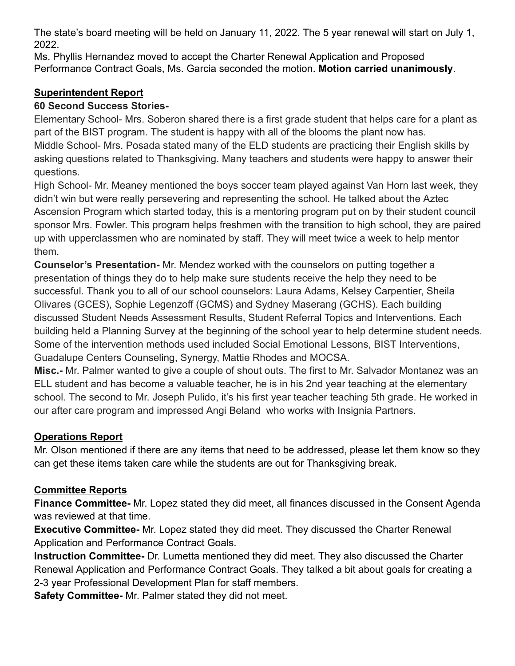The state's board meeting will be held on January 11, 2022. The 5 year renewal will start on July 1, 2022

Ms. Phyllis Hernandez moved to accept the Charter Renewal Application and Proposed Performance Contract Goals, Ms. Garcia seconded the motion. Motion carried unanimously.

## **Superintendent Report**

### **60 Second Success Stories-**

Elementary School- Mrs. Soberon shared there is a first grade student that helps care for a plant as part of the BIST program. The student is happy with all of the blooms the plant now has. Middle School- Mrs. Posada stated many of the ELD students are practicing their English skills by asking questions related to Thanksgiving. Many teachers and students were happy to answer their questions.

High School- Mr. Meaney mentioned the boys soccer team played against Van Horn last week, they didn't win but were really persevering and representing the school. He talked about the Aztec Ascension Program which started today, this is a mentoring program put on by their student council sponsor Mrs. Fowler. This program helps freshmen with the transition to high school, they are paired up with upperclassmen who are nominated by staff. They will meet twice a week to help mentor them.

**Counselor's Presentation-** Mr. Mendez worked with the counselors on putting together a presentation of things they do to help make sure students receive the help they need to be successful. Thank you to all of our school counselors: Laura Adams, Kelsey Carpentier, Sheila Olivares (GCES), Sophie Legenzoff (GCMS) and Sydney Maserang (GCHS). Each building discussed Student Needs Assessment Results, Student Referral Topics and Interventions. Each building held a Planning Survey at the beginning of the school year to help determine student needs. Some of the intervention methods used included Social Emotional Lessons, BIST Interventions, Guadalupe Centers Counseling, Synergy, Mattie Rhodes and MOCSA.

Misc.- Mr. Palmer wanted to give a couple of shout outs. The first to Mr. Salvador Montanez was an ELL student and has become a valuable teacher, he is in his 2nd year teaching at the elementary school. The second to Mr. Joseph Pulido, it's his first year teacher teaching 5th grade. He worked in our after care program and impressed Angi Beland who works with Insignia Partners.

## **Operations Report**

Mr. Olson mentioned if there are any items that need to be addressed, please let them know so they can get these items taken care while the students are out for Thanksgiving break.

## **Committee Reports**

Finance Committee- Mr. Lopez stated they did meet, all finances discussed in the Consent Agenda was reviewed at that time.

**Executive Committee-** Mr. Lopez stated they did meet. They discussed the Charter Renewal **Application and Performance Contract Goals.** 

Instruction Committee- Dr. Lumetta mentioned they did meet. They also discussed the Charter Renewal Application and Performance Contract Goals. They talked a bit about goals for creating a 2-3 year Professional Development Plan for staff members.

Safety Committee- Mr. Palmer stated they did not meet.